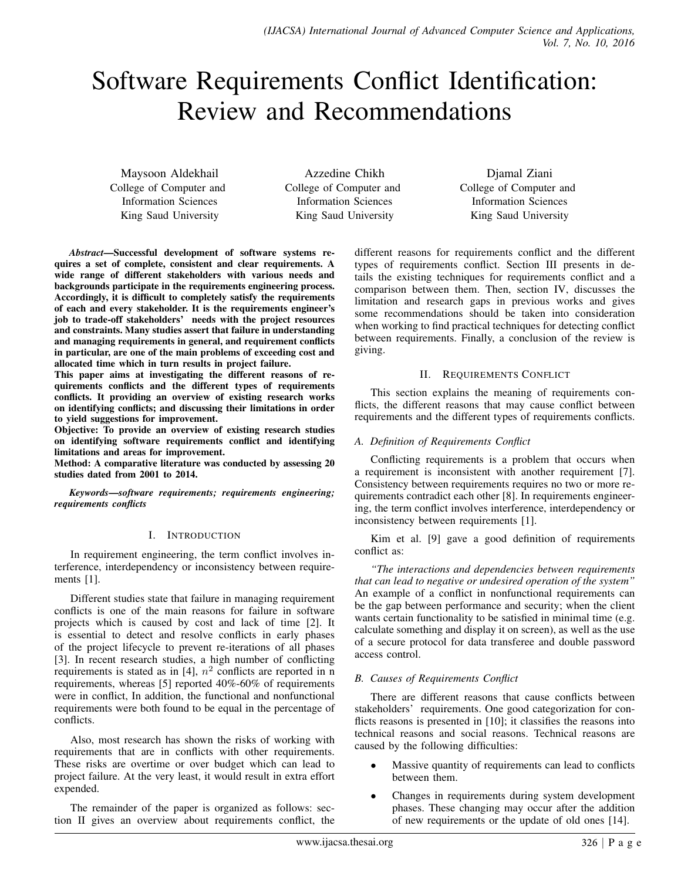# Software Requirements Conflict Identification: Review and Recommendations

Maysoon Aldekhail College of Computer and Information Sciences King Saud University

Azzedine Chikh College of Computer and Information Sciences King Saud University

Djamal Ziani College of Computer and Information Sciences King Saud University

*Abstract*—Successful development of software systems requires a set of complete, consistent and clear requirements. A wide range of different stakeholders with various needs and backgrounds participate in the requirements engineering process. Accordingly, it is difficult to completely satisfy the requirements of each and every stakeholder. It is the requirements engineer's job to trade-off stakeholders' needs with the project resources and constraints. Many studies assert that failure in understanding and managing requirements in general, and requirement conflicts in particular, are one of the main problems of exceeding cost and allocated time which in turn results in project failure.

This paper aims at investigating the different reasons of requirements conflicts and the different types of requirements conflicts. It providing an overview of existing research works on identifying conflicts; and discussing their limitations in order to yield suggestions for improvement.

Objective: To provide an overview of existing research studies on identifying software requirements conflict and identifying limitations and areas for improvement.

Method: A comparative literature was conducted by assessing 20 studies dated from 2001 to 2014.

*Keywords*—*software requirements; requirements engineering; requirements conflicts*

#### I. INTRODUCTION

In requirement engineering, the term conflict involves interference, interdependency or inconsistency between requirements [1].

Different studies state that failure in managing requirement conflicts is one of the main reasons for failure in software projects which is caused by cost and lack of time [2]. It is essential to detect and resolve conflicts in early phases of the project lifecycle to prevent re-iterations of all phases [3]. In recent research studies, a high number of conflicting requirements is stated as in [4],  $n^2$  conflicts are reported in n requirements, whereas [5] reported 40%-60% of requirements were in conflict, In addition, the functional and nonfunctional requirements were both found to be equal in the percentage of conflicts.

Also, most research has shown the risks of working with requirements that are in conflicts with other requirements. These risks are overtime or over budget which can lead to project failure. At the very least, it would result in extra effort expended.

The remainder of the paper is organized as follows: section II gives an overview about requirements conflict, the different reasons for requirements conflict and the different types of requirements conflict. Section III presents in details the existing techniques for requirements conflict and a comparison between them. Then, section IV, discusses the limitation and research gaps in previous works and gives some recommendations should be taken into consideration when working to find practical techniques for detecting conflict between requirements. Finally, a conclusion of the review is giving.

#### II. REQUIREMENTS CONFLICT

This section explains the meaning of requirements conflicts, the different reasons that may cause conflict between requirements and the different types of requirements conflicts.

#### *A. Definition of Requirements Conflict*

Conflicting requirements is a problem that occurs when a requirement is inconsistent with another requirement [7]. Consistency between requirements requires no two or more requirements contradict each other [8]. In requirements engineering, the term conflict involves interference, interdependency or inconsistency between requirements [1].

Kim et al. [9] gave a good definition of requirements conflict as:

*"The interactions and dependencies between requirements that can lead to negative or undesired operation of the system"* An example of a conflict in nonfunctional requirements can be the gap between performance and security; when the client wants certain functionality to be satisfied in minimal time (e.g. calculate something and display it on screen), as well as the use of a secure protocol for data transferee and double password access control.

## *B. Causes of Requirements Conflict*

There are different reasons that cause conflicts between stakeholders' requirements. One good categorization for conflicts reasons is presented in [10]; it classifies the reasons into technical reasons and social reasons. Technical reasons are caused by the following difficulties:

- Massive quantity of requirements can lead to conflicts between them.
- Changes in requirements during system development phases. These changing may occur after the addition of new requirements or the update of old ones [14].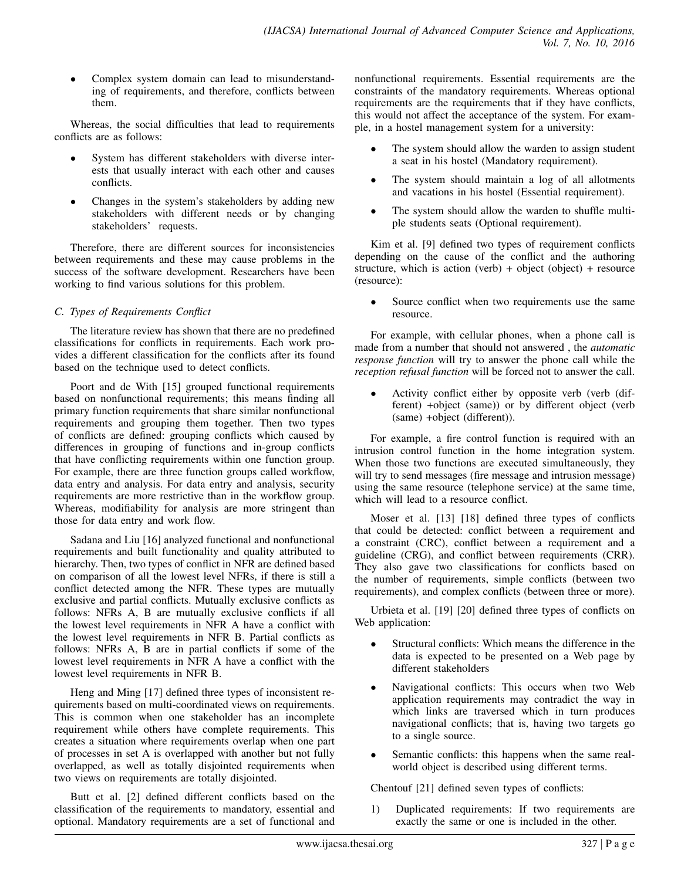• Complex system domain can lead to misunderstanding of requirements, and therefore, conflicts between them.

Whereas, the social difficulties that lead to requirements conflicts are as follows:

- System has different stakeholders with diverse interests that usually interact with each other and causes conflicts.
- Changes in the system's stakeholders by adding new stakeholders with different needs or by changing stakeholders' requests.

Therefore, there are different sources for inconsistencies between requirements and these may cause problems in the success of the software development. Researchers have been working to find various solutions for this problem.

## *C. Types of Requirements Conflict*

The literature review has shown that there are no predefined classifications for conflicts in requirements. Each work provides a different classification for the conflicts after its found based on the technique used to detect conflicts.

Poort and de With [15] grouped functional requirements based on nonfunctional requirements; this means finding all primary function requirements that share similar nonfunctional requirements and grouping them together. Then two types of conflicts are defined: grouping conflicts which caused by differences in grouping of functions and in-group conflicts that have conflicting requirements within one function group. For example, there are three function groups called workflow, data entry and analysis. For data entry and analysis, security requirements are more restrictive than in the workflow group. Whereas, modifiability for analysis are more stringent than those for data entry and work flow.

Sadana and Liu [16] analyzed functional and nonfunctional requirements and built functionality and quality attributed to hierarchy. Then, two types of conflict in NFR are defined based on comparison of all the lowest level NFRs, if there is still a conflict detected among the NFR. These types are mutually exclusive and partial conflicts. Mutually exclusive conflicts as follows: NFRs A, B are mutually exclusive conflicts if all the lowest level requirements in NFR A have a conflict with the lowest level requirements in NFR B. Partial conflicts as follows: NFRs A, B are in partial conflicts if some of the lowest level requirements in NFR A have a conflict with the lowest level requirements in NFR B.

Heng and Ming [17] defined three types of inconsistent requirements based on multi-coordinated views on requirements. This is common when one stakeholder has an incomplete requirement while others have complete requirements. This creates a situation where requirements overlap when one part of processes in set A is overlapped with another but not fully overlapped, as well as totally disjointed requirements when two views on requirements are totally disjointed.

Butt et al. [2] defined different conflicts based on the classification of the requirements to mandatory, essential and optional. Mandatory requirements are a set of functional and nonfunctional requirements. Essential requirements are the constraints of the mandatory requirements. Whereas optional requirements are the requirements that if they have conflicts, this would not affect the acceptance of the system. For example, in a hostel management system for a university:

- The system should allow the warden to assign student a seat in his hostel (Mandatory requirement).
- The system should maintain a log of all allotments and vacations in his hostel (Essential requirement).
- The system should allow the warden to shuffle multiple students seats (Optional requirement).

Kim et al. [9] defined two types of requirement conflicts depending on the cause of the conflict and the authoring structure, which is action (verb) + object (object) + resource (resource):

Source conflict when two requirements use the same resource.

For example, with cellular phones, when a phone call is made from a number that should not answered , the *automatic response function* will try to answer the phone call while the *reception refusal function* will be forced not to answer the call.

• Activity conflict either by opposite verb (verb (different) +object (same)) or by different object (verb (same) +object (different)).

For example, a fire control function is required with an intrusion control function in the home integration system. When those two functions are executed simultaneously, they will try to send messages (fire message and intrusion message) using the same resource (telephone service) at the same time, which will lead to a resource conflict.

Moser et al. [13] [18] defined three types of conflicts that could be detected: conflict between a requirement and a constraint (CRC), conflict between a requirement and a guideline (CRG), and conflict between requirements (CRR). They also gave two classifications for conflicts based on the number of requirements, simple conflicts (between two requirements), and complex conflicts (between three or more).

Urbieta et al. [19] [20] defined three types of conflicts on Web application:

- Structural conflicts: Which means the difference in the data is expected to be presented on a Web page by different stakeholders
- Navigational conflicts: This occurs when two Web application requirements may contradict the way in which links are traversed which in turn produces navigational conflicts; that is, having two targets go to a single source.
- Semantic conflicts: this happens when the same realworld object is described using different terms.

Chentouf [21] defined seven types of conflicts:

1) Duplicated requirements: If two requirements are exactly the same or one is included in the other.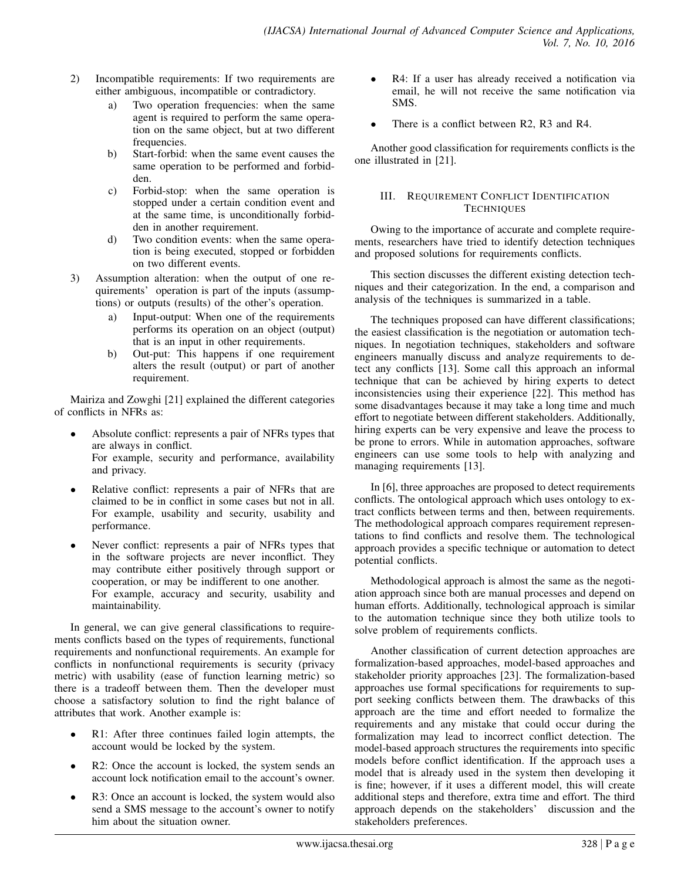- 2) Incompatible requirements: If two requirements are either ambiguous, incompatible or contradictory.
	- a) Two operation frequencies: when the same agent is required to perform the same operation on the same object, but at two different frequencies.
	- b) Start-forbid: when the same event causes the same operation to be performed and forbidden.
	- c) Forbid-stop: when the same operation is stopped under a certain condition event and at the same time, is unconditionally forbidden in another requirement.
	- d) Two condition events: when the same operation is being executed, stopped or forbidden on two different events.
- 3) Assumption alteration: when the output of one requirements' operation is part of the inputs (assumptions) or outputs (results) of the other's operation.
	- a) Input-output: When one of the requirements performs its operation on an object (output) that is an input in other requirements.
	- b) Out-put: This happens if one requirement alters the result (output) or part of another requirement.

Mairiza and Zowghi [21] explained the different categories of conflicts in NFRs as:

- Absolute conflict: represents a pair of NFRs types that are always in conflict. For example, security and performance, availability and privacy.
- Relative conflict: represents a pair of NFRs that are claimed to be in conflict in some cases but not in all. For example, usability and security, usability and performance.
- Never conflict: represents a pair of NFRs types that in the software projects are never inconflict. They may contribute either positively through support or cooperation, or may be indifferent to one another. For example, accuracy and security, usability and maintainability.

In general, we can give general classifications to requirements conflicts based on the types of requirements, functional requirements and nonfunctional requirements. An example for conflicts in nonfunctional requirements is security (privacy metric) with usability (ease of function learning metric) so there is a tradeoff between them. Then the developer must choose a satisfactory solution to find the right balance of attributes that work. Another example is:

- R1: After three continues failed login attempts, the account would be locked by the system.
- R2: Once the account is locked, the system sends an account lock notification email to the account's owner.
- R3: Once an account is locked, the system would also send a SMS message to the account's owner to notify him about the situation owner.
- R4: If a user has already received a notification via email, he will not receive the same notification via SMS.
- There is a conflict between R2, R3 and R4.

Another good classification for requirements conflicts is the one illustrated in [21].

## III. REQUIREMENT CONFLICT IDENTIFICATION **TECHNIQUES**

Owing to the importance of accurate and complete requirements, researchers have tried to identify detection techniques and proposed solutions for requirements conflicts.

This section discusses the different existing detection techniques and their categorization. In the end, a comparison and analysis of the techniques is summarized in a table.

The techniques proposed can have different classifications; the easiest classification is the negotiation or automation techniques. In negotiation techniques, stakeholders and software engineers manually discuss and analyze requirements to detect any conflicts [13]. Some call this approach an informal technique that can be achieved by hiring experts to detect inconsistencies using their experience [22]. This method has some disadvantages because it may take a long time and much effort to negotiate between different stakeholders. Additionally, hiring experts can be very expensive and leave the process to be prone to errors. While in automation approaches, software engineers can use some tools to help with analyzing and managing requirements [13].

In [6], three approaches are proposed to detect requirements conflicts. The ontological approach which uses ontology to extract conflicts between terms and then, between requirements. The methodological approach compares requirement representations to find conflicts and resolve them. The technological approach provides a specific technique or automation to detect potential conflicts.

Methodological approach is almost the same as the negotiation approach since both are manual processes and depend on human efforts. Additionally, technological approach is similar to the automation technique since they both utilize tools to solve problem of requirements conflicts.

Another classification of current detection approaches are formalization-based approaches, model-based approaches and stakeholder priority approaches [23]. The formalization-based approaches use formal specifications for requirements to support seeking conflicts between them. The drawbacks of this approach are the time and effort needed to formalize the requirements and any mistake that could occur during the formalization may lead to incorrect conflict detection. The model-based approach structures the requirements into specific models before conflict identification. If the approach uses a model that is already used in the system then developing it is fine; however, if it uses a different model, this will create additional steps and therefore, extra time and effort. The third approach depends on the stakeholders' discussion and the stakeholders preferences.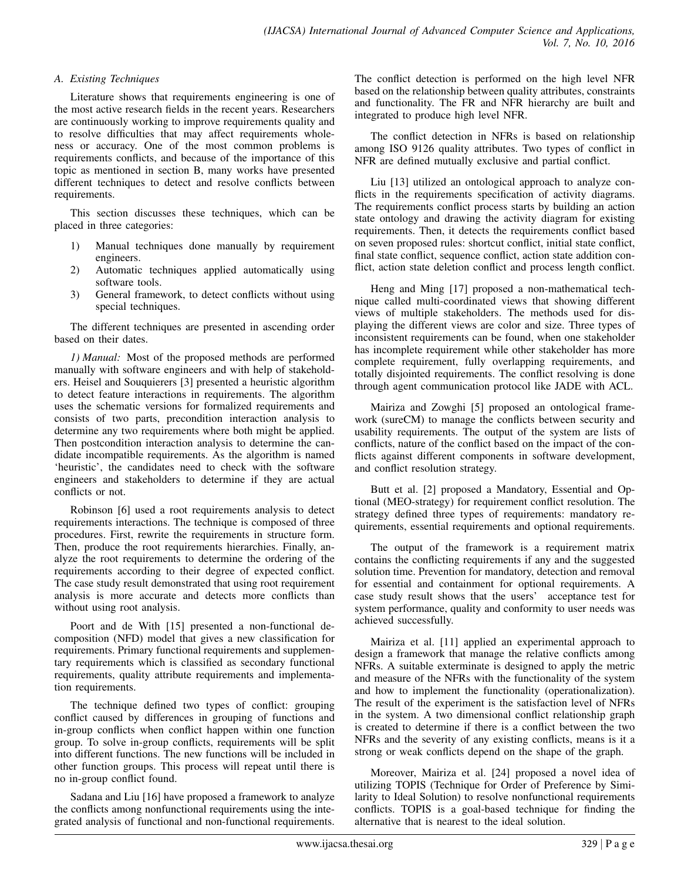#### *A. Existing Techniques*

Literature shows that requirements engineering is one of the most active research fields in the recent years. Researchers are continuously working to improve requirements quality and to resolve difficulties that may affect requirements wholeness or accuracy. One of the most common problems is requirements conflicts, and because of the importance of this topic as mentioned in section B, many works have presented different techniques to detect and resolve conflicts between requirements.

This section discusses these techniques, which can be placed in three categories:

- 1) Manual techniques done manually by requirement engineers.
- 2) Automatic techniques applied automatically using software tools.
- 3) General framework, to detect conflicts without using special techniques.

The different techniques are presented in ascending order based on their dates.

*1) Manual:* Most of the proposed methods are performed manually with software engineers and with help of stakeholders. Heisel and Souquierers [3] presented a heuristic algorithm to detect feature interactions in requirements. The algorithm uses the schematic versions for formalized requirements and consists of two parts, precondition interaction analysis to determine any two requirements where both might be applied. Then postcondition interaction analysis to determine the candidate incompatible requirements. As the algorithm is named 'heuristic', the candidates need to check with the software engineers and stakeholders to determine if they are actual conflicts or not.

Robinson [6] used a root requirements analysis to detect requirements interactions. The technique is composed of three procedures. First, rewrite the requirements in structure form. Then, produce the root requirements hierarchies. Finally, analyze the root requirements to determine the ordering of the requirements according to their degree of expected conflict. The case study result demonstrated that using root requirement analysis is more accurate and detects more conflicts than without using root analysis.

Poort and de With [15] presented a non-functional decomposition (NFD) model that gives a new classification for requirements. Primary functional requirements and supplementary requirements which is classified as secondary functional requirements, quality attribute requirements and implementation requirements.

The technique defined two types of conflict: grouping conflict caused by differences in grouping of functions and in-group conflicts when conflict happen within one function group. To solve in-group conflicts, requirements will be split into different functions. The new functions will be included in other function groups. This process will repeat until there is no in-group conflict found.

Sadana and Liu [16] have proposed a framework to analyze the conflicts among nonfunctional requirements using the integrated analysis of functional and non-functional requirements. The conflict detection is performed on the high level NFR based on the relationship between quality attributes, constraints and functionality. The FR and NFR hierarchy are built and integrated to produce high level NFR.

The conflict detection in NFRs is based on relationship among ISO 9126 quality attributes. Two types of conflict in NFR are defined mutually exclusive and partial conflict.

Liu [13] utilized an ontological approach to analyze conflicts in the requirements specification of activity diagrams. The requirements conflict process starts by building an action state ontology and drawing the activity diagram for existing requirements. Then, it detects the requirements conflict based on seven proposed rules: shortcut conflict, initial state conflict, final state conflict, sequence conflict, action state addition conflict, action state deletion conflict and process length conflict.

Heng and Ming [17] proposed a non-mathematical technique called multi-coordinated views that showing different views of multiple stakeholders. The methods used for displaying the different views are color and size. Three types of inconsistent requirements can be found, when one stakeholder has incomplete requirement while other stakeholder has more complete requirement, fully overlapping requirements, and totally disjointed requirements. The conflict resolving is done through agent communication protocol like JADE with ACL.

Mairiza and Zowghi [5] proposed an ontological framework (sureCM) to manage the conflicts between security and usability requirements. The output of the system are lists of conflicts, nature of the conflict based on the impact of the conflicts against different components in software development, and conflict resolution strategy.

Butt et al. [2] proposed a Mandatory, Essential and Optional (MEO-strategy) for requirement conflict resolution. The strategy defined three types of requirements: mandatory requirements, essential requirements and optional requirements.

The output of the framework is a requirement matrix contains the conflicting requirements if any and the suggested solution time. Prevention for mandatory, detection and removal for essential and containment for optional requirements. A case study result shows that the users' acceptance test for system performance, quality and conformity to user needs was achieved successfully.

Mairiza et al. [11] applied an experimental approach to design a framework that manage the relative conflicts among NFRs. A suitable exterminate is designed to apply the metric and measure of the NFRs with the functionality of the system and how to implement the functionality (operationalization). The result of the experiment is the satisfaction level of NFRs in the system. A two dimensional conflict relationship graph is created to determine if there is a conflict between the two NFRs and the severity of any existing conflicts, means is it a strong or weak conflicts depend on the shape of the graph.

Moreover, Mairiza et al. [24] proposed a novel idea of utilizing TOPIS (Technique for Order of Preference by Similarity to Ideal Solution) to resolve nonfunctional requirements conflicts. TOPIS is a goal-based technique for finding the alternative that is nearest to the ideal solution.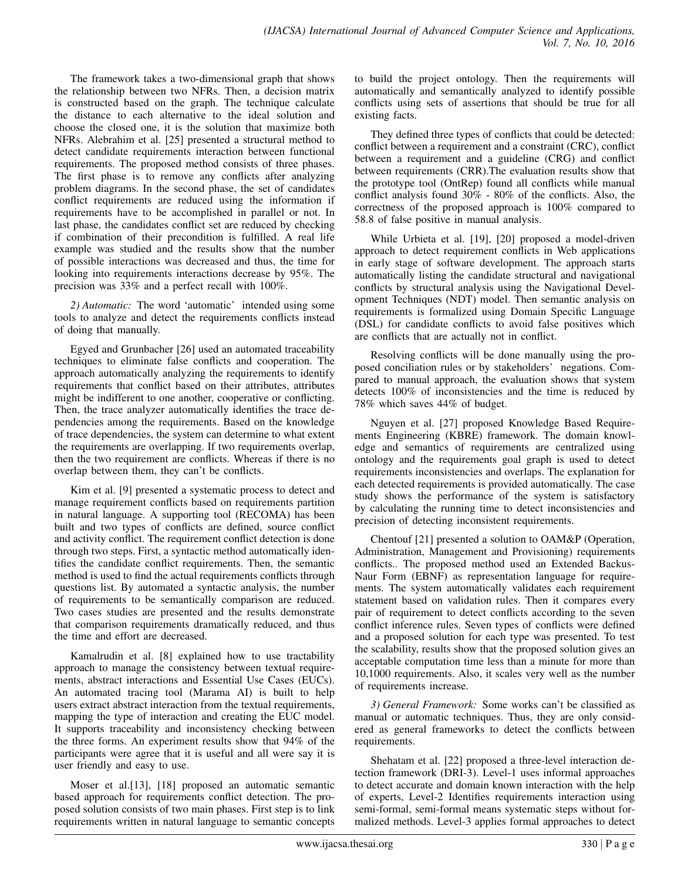The framework takes a two-dimensional graph that shows the relationship between two NFRs. Then, a decision matrix is constructed based on the graph. The technique calculate the distance to each alternative to the ideal solution and choose the closed one, it is the solution that maximize both NFRs. Alebrahim et al. [25] presented a structural method to detect candidate requirements interaction between functional requirements. The proposed method consists of three phases. The first phase is to remove any conflicts after analyzing problem diagrams. In the second phase, the set of candidates conflict requirements are reduced using the information if requirements have to be accomplished in parallel or not. In last phase, the candidates conflict set are reduced by checking if combination of their precondition is fulfilled. A real life example was studied and the results show that the number of possible interactions was decreased and thus, the time for looking into requirements interactions decrease by 95%. The precision was 33% and a perfect recall with 100%.

*2) Automatic:* The word 'automatic' intended using some tools to analyze and detect the requirements conflicts instead of doing that manually.

Egyed and Grunbacher [26] used an automated traceability techniques to eliminate false conflicts and cooperation. The approach automatically analyzing the requirements to identify requirements that conflict based on their attributes, attributes might be indifferent to one another, cooperative or conflicting. Then, the trace analyzer automatically identifies the trace dependencies among the requirements. Based on the knowledge of trace dependencies, the system can determine to what extent the requirements are overlapping. If two requirements overlap, then the two requirement are conflicts. Whereas if there is no overlap between them, they can't be conflicts.

Kim et al. [9] presented a systematic process to detect and manage requirement conflicts based on requirements partition in natural language. A supporting tool (RECOMA) has been built and two types of conflicts are defined, source conflict and activity conflict. The requirement conflict detection is done through two steps. First, a syntactic method automatically identifies the candidate conflict requirements. Then, the semantic method is used to find the actual requirements conflicts through questions list. By automated a syntactic analysis, the number of requirements to be semantically comparison are reduced. Two cases studies are presented and the results demonstrate that comparison requirements dramatically reduced, and thus the time and effort are decreased.

Kamalrudin et al. [8] explained how to use tractability approach to manage the consistency between textual requirements, abstract interactions and Essential Use Cases (EUCs). An automated tracing tool (Marama AI) is built to help users extract abstract interaction from the textual requirements, mapping the type of interaction and creating the EUC model. It supports traceability and inconsistency checking between the three forms. An experiment results show that 94% of the participants were agree that it is useful and all were say it is user friendly and easy to use.

Moser et al.[13], [18] proposed an automatic semantic based approach for requirements conflict detection. The proposed solution consists of two main phases. First step is to link requirements written in natural language to semantic concepts to build the project ontology. Then the requirements will automatically and semantically analyzed to identify possible conflicts using sets of assertions that should be true for all existing facts.

They defined three types of conflicts that could be detected: conflict between a requirement and a constraint (CRC), conflict between a requirement and a guideline (CRG) and conflict between requirements (CRR).The evaluation results show that the prototype tool (OntRep) found all conflicts while manual conflict analysis found 30% - 80% of the conflicts. Also, the correctness of the proposed approach is 100% compared to 58.8 of false positive in manual analysis.

While Urbieta et al. [19], [20] proposed a model-driven approach to detect requirement conflicts in Web applications in early stage of software development. The approach starts automatically listing the candidate structural and navigational conflicts by structural analysis using the Navigational Development Techniques (NDT) model. Then semantic analysis on requirements is formalized using Domain Specific Language (DSL) for candidate conflicts to avoid false positives which are conflicts that are actually not in conflict.

Resolving conflicts will be done manually using the proposed conciliation rules or by stakeholders' negations. Compared to manual approach, the evaluation shows that system detects 100% of inconsistencies and the time is reduced by 78% which saves 44% of budget.

Nguyen et al. [27] proposed Knowledge Based Requirements Engineering (KBRE) framework. The domain knowledge and semantics of requirements are centralized using ontology and the requirements goal graph is used to detect requirements inconsistencies and overlaps. The explanation for each detected requirements is provided automatically. The case study shows the performance of the system is satisfactory by calculating the running time to detect inconsistencies and precision of detecting inconsistent requirements.

Chentouf [21] presented a solution to OAM&P (Operation, Administration, Management and Provisioning) requirements conflicts.. The proposed method used an Extended Backus-Naur Form (EBNF) as representation language for requirements. The system automatically validates each requirement statement based on validation rules. Then it compares every pair of requirement to detect conflicts according to the seven conflict inference rules. Seven types of conflicts were defined and a proposed solution for each type was presented. To test the scalability, results show that the proposed solution gives an acceptable computation time less than a minute for more than 10,1000 requirements. Also, it scales very well as the number of requirements increase.

*3) General Framework:* Some works can't be classified as manual or automatic techniques. Thus, they are only considered as general frameworks to detect the conflicts between requirements.

Shehatam et al. [22] proposed a three-level interaction detection framework (DRI-3). Level-1 uses informal approaches to detect accurate and domain known interaction with the help of experts, Level-2 Identifies requirements interaction using semi-formal, semi-formal means systematic steps without formalized methods. Level-3 applies formal approaches to detect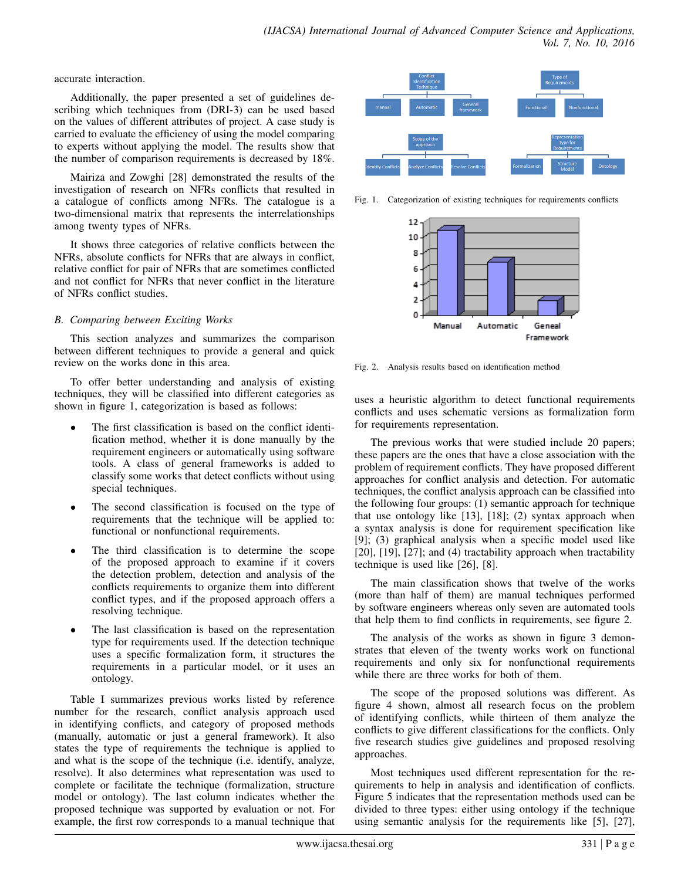accurate interaction.

Additionally, the paper presented a set of guidelines describing which techniques from (DRI-3) can be used based on the values of different attributes of project. A case study is carried to evaluate the efficiency of using the model comparing to experts without applying the model. The results show that the number of comparison requirements is decreased by 18%.

Mairiza and Zowghi [28] demonstrated the results of the investigation of research on NFRs conflicts that resulted in a catalogue of conflicts among NFRs. The catalogue is a two-dimensional matrix that represents the interrelationships among twenty types of NFRs.

It shows three categories of relative conflicts between the NFRs, absolute conflicts for NFRs that are always in conflict, relative conflict for pair of NFRs that are sometimes conflicted and not conflict for NFRs that never conflict in the literature of NFRs conflict studies.

## *B. Comparing between Exciting Works*

This section analyzes and summarizes the comparison between different techniques to provide a general and quick review on the works done in this area.

To offer better understanding and analysis of existing techniques, they will be classified into different categories as shown in figure 1, categorization is based as follows:

- The first classification is based on the conflict identification method, whether it is done manually by the requirement engineers or automatically using software tools. A class of general frameworks is added to classify some works that detect conflicts without using special techniques.
- The second classification is focused on the type of requirements that the technique will be applied to: functional or nonfunctional requirements.
- The third classification is to determine the scope of the proposed approach to examine if it covers the detection problem, detection and analysis of the conflicts requirements to organize them into different conflict types, and if the proposed approach offers a resolving technique.
- The last classification is based on the representation type for requirements used. If the detection technique uses a specific formalization form, it structures the requirements in a particular model, or it uses an ontology.

Table I summarizes previous works listed by reference number for the research, conflict analysis approach used in identifying conflicts, and category of proposed methods (manually, automatic or just a general framework). It also states the type of requirements the technique is applied to and what is the scope of the technique (i.e. identify, analyze, resolve). It also determines what representation was used to complete or facilitate the technique (formalization, structure model or ontology). The last column indicates whether the proposed technique was supported by evaluation or not. For example, the first row corresponds to a manual technique that



Fig. 1. Categorization of existing techniques for requirements conflicts



Fig. 2. Analysis results based on identification method

uses a heuristic algorithm to detect functional requirements conflicts and uses schematic versions as formalization form for requirements representation.

The previous works that were studied include 20 papers; these papers are the ones that have a close association with the problem of requirement conflicts. They have proposed different approaches for conflict analysis and detection. For automatic techniques, the conflict analysis approach can be classified into the following four groups: (1) semantic approach for technique that use ontology like [13], [18]; (2) syntax approach when a syntax analysis is done for requirement specification like [9]; (3) graphical analysis when a specific model used like [20], [19], [27]; and (4) tractability approach when tractability technique is used like [26], [8].

The main classification shows that twelve of the works (more than half of them) are manual techniques performed by software engineers whereas only seven are automated tools that help them to find conflicts in requirements, see figure 2.

The analysis of the works as shown in figure 3 demonstrates that eleven of the twenty works work on functional requirements and only six for nonfunctional requirements while there are three works for both of them.

The scope of the proposed solutions was different. As figure 4 shown, almost all research focus on the problem of identifying conflicts, while thirteen of them analyze the conflicts to give different classifications for the conflicts. Only five research studies give guidelines and proposed resolving approaches.

Most techniques used different representation for the requirements to help in analysis and identification of conflicts. Figure 5 indicates that the representation methods used can be divided to three types: either using ontology if the technique using semantic analysis for the requirements like [5], [27],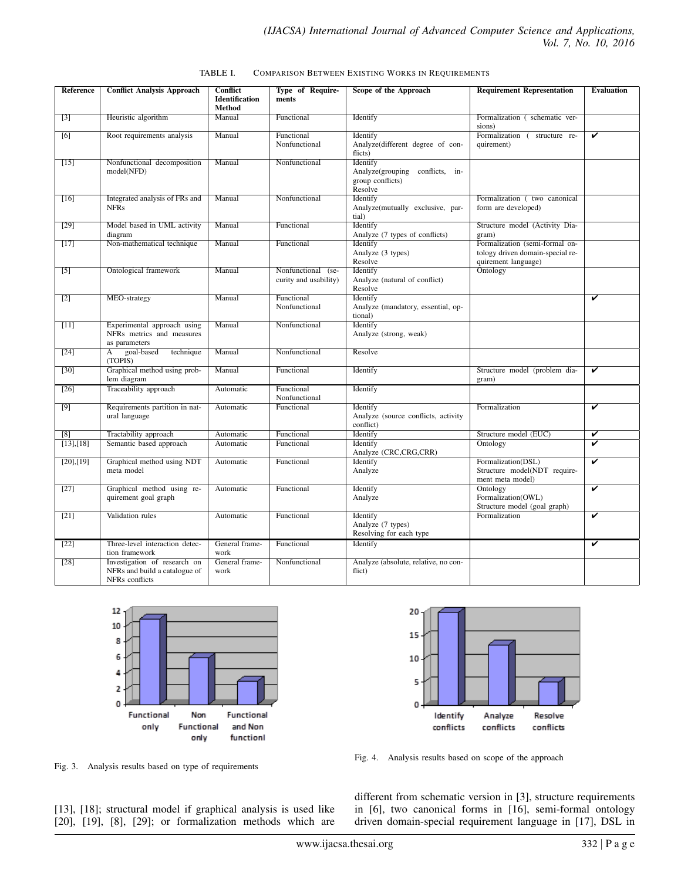| TABLE I. |  |  |  |  | <b>COMPARISON BETWEEN EXISTING WORKS IN REQUIREMENTS</b> |
|----------|--|--|--|--|----------------------------------------------------------|
|----------|--|--|--|--|----------------------------------------------------------|

| Reference         | <b>Conflict Analysis Approach</b>                                               | Conflict<br><b>Identification</b><br>Method | Type of Require-<br>ments                   | Scope of the Approach                                                      | <b>Requirement Representation</b>                                                         | <b>Evaluation</b>                    |
|-------------------|---------------------------------------------------------------------------------|---------------------------------------------|---------------------------------------------|----------------------------------------------------------------------------|-------------------------------------------------------------------------------------------|--------------------------------------|
| $[3]$             | Heuristic algorithm                                                             | Manual                                      | Functional                                  | Identify                                                                   | Formalization (schematic ver-<br>sions)                                                   |                                      |
| [6]               | Root requirements analysis                                                      | Manual                                      | Functional<br>Nonfunctional                 | Identify<br>Analyze(different degree of con-<br>flicts)                    | Formalization (<br>structure re-<br>quirement)                                            | V                                    |
| $[15]$            | Nonfunctional decomposition<br>model(NFD)                                       | Manual                                      | Nonfunctional                               | Identify<br>Analyze(grouping conflicts, in-<br>group conflicts)<br>Resolve |                                                                                           |                                      |
| $[16]$            | Integrated analysis of FRs and<br><b>NFRs</b>                                   | Manual                                      | Nonfunctional                               | Identify<br>Analyze(mutually exclusive, par-<br>tial)                      | Formalization (two canonical<br>form are developed)                                       |                                      |
| $[29]$            | Model based in UML activity<br>diagram                                          | Manual                                      | Functional                                  | Identify<br>Analyze (7 types of conflicts)                                 | Structure model (Activity Dia-<br>gram)                                                   |                                      |
| [17]              | Non-mathematical technique                                                      | Manual                                      | Functional                                  | Identify<br>Analyze (3 types)<br>Resolve                                   | Formalization (semi-formal on-<br>tology driven domain-special re-<br>quirement language) |                                      |
| $\lceil 5 \rceil$ | Ontological framework                                                           | Manual                                      | Nonfunctional (se-<br>curity and usability) | Identify<br>Analyze (natural of conflict)<br>Resolve                       | Ontology                                                                                  |                                      |
| $[2]$             | MEO-strategy                                                                    | Manual                                      | Functional<br>Nonfunctional                 | Identify<br>Analyze (mandatory, essential, op-<br>tional)                  |                                                                                           | V                                    |
| $[11]$            | Experimental approach using<br>NFRs metrics and measures<br>as parameters       | Manual                                      | Nonfunctional                               | Identify<br>Analyze (strong, weak)                                         |                                                                                           |                                      |
| $[24]$            | goal-based<br>technique<br>A<br>(TOPIS)                                         | Manual                                      | Nonfunctional                               | Resolve                                                                    |                                                                                           |                                      |
| $\overline{30}$   | Graphical method using prob-<br>lem diagram                                     | Manual                                      | Functional                                  | Identify                                                                   | Structure model (problem dia-<br>gram)                                                    | $\overline{\mathbf{v}}$              |
| $[26]$            | Traceability approach                                                           | Automatic                                   | Functional<br>Nonfunctional                 | Identify                                                                   |                                                                                           |                                      |
| $[9]$             | Requirements partition in nat-<br>ural language                                 | Automatic                                   | Functional                                  | Identify<br>Analyze (source conflicts, activity<br>conflict)               | Formalization                                                                             | v                                    |
| [8]               | Tractability approach                                                           | Automatic                                   | Functional                                  | Identify                                                                   | Structure model (EUC)                                                                     | V                                    |
| [13],[18]         | Semantic based approach                                                         | Automatic                                   | Functional                                  | Identify<br>Analyze (CRC,CRG,CRR)                                          | Ontology                                                                                  | v                                    |
| [20],[19]         | Graphical method using NDT<br>meta model                                        | Automatic                                   | Functional                                  | Identify<br>Analyze                                                        | Formalization(DSL)<br>Structure model(NDT require-<br>ment meta model)                    | $\overline{\mathbf{v}}$              |
| [27]              | Graphical method using re-<br>quirement goal graph                              | Automatic                                   | Functional                                  | Identify<br>Analyze                                                        | Ontology<br>Formalization(OWL)<br>Structure model (goal graph)                            | $\overline{\boldsymbol{\mathsf{v}}}$ |
| [21]              | Validation rules                                                                | Automatic                                   | Functional                                  | Identify<br>Analyze (7 types)<br>Resolving for each type                   | Formalization                                                                             | v                                    |
| $[22]$            | Three-level interaction detec-<br>tion framework                                | General frame-<br>work                      | Functional                                  | Identify                                                                   |                                                                                           | V                                    |
| $\overline{28}$ ] | Investigation of research on<br>NFRs and build a catalogue of<br>NFRs conflicts | General frame-<br>work                      | Nonfunctional                               | Analyze (absolute, relative, no con-<br>flict)                             |                                                                                           |                                      |



Fig. 3. Analysis results based on type of requirements



Fig. 4. Analysis results based on scope of the approach

[13], [18]; structural model if graphical analysis is used like [20], [19], [8], [29]; or formalization methods which are different from schematic version in [3], structure requirements in [6], two canonical forms in [16], semi-formal ontology driven domain-special requirement language in [17], DSL in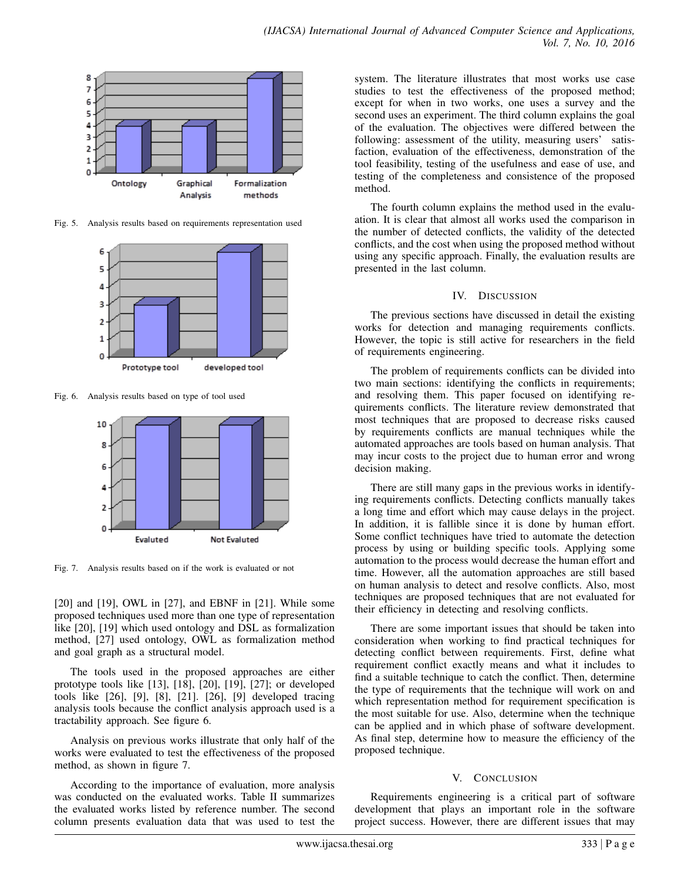

Fig. 5. Analysis results based on requirements representation used



Fig. 6. Analysis results based on type of tool used



Fig. 7. Analysis results based on if the work is evaluated or not

[20] and [19], OWL in [27], and EBNF in [21]. While some proposed techniques used more than one type of representation like [20], [19] which used ontology and DSL as formalization method, [27] used ontology, OWL as formalization method and goal graph as a structural model.

The tools used in the proposed approaches are either prototype tools like [13], [18], [20], [19], [27]; or developed tools like [26], [9], [8], [21]. [26], [9] developed tracing analysis tools because the conflict analysis approach used is a tractability approach. See figure 6.

Analysis on previous works illustrate that only half of the works were evaluated to test the effectiveness of the proposed method, as shown in figure 7.

According to the importance of evaluation, more analysis was conducted on the evaluated works. Table II summarizes the evaluated works listed by reference number. The second column presents evaluation data that was used to test the

system. The literature illustrates that most works use case studies to test the effectiveness of the proposed method; except for when in two works, one uses a survey and the second uses an experiment. The third column explains the goal of the evaluation. The objectives were differed between the following: assessment of the utility, measuring users' satisfaction, evaluation of the effectiveness, demonstration of the tool feasibility, testing of the usefulness and ease of use, and testing of the completeness and consistence of the proposed method.

The fourth column explains the method used in the evaluation. It is clear that almost all works used the comparison in the number of detected conflicts, the validity of the detected conflicts, and the cost when using the proposed method without using any specific approach. Finally, the evaluation results are presented in the last column.

#### IV. DISCUSSION

The previous sections have discussed in detail the existing works for detection and managing requirements conflicts. However, the topic is still active for researchers in the field of requirements engineering.

The problem of requirements conflicts can be divided into two main sections: identifying the conflicts in requirements; and resolving them. This paper focused on identifying requirements conflicts. The literature review demonstrated that most techniques that are proposed to decrease risks caused by requirements conflicts are manual techniques while the automated approaches are tools based on human analysis. That may incur costs to the project due to human error and wrong decision making.

There are still many gaps in the previous works in identifying requirements conflicts. Detecting conflicts manually takes a long time and effort which may cause delays in the project. In addition, it is fallible since it is done by human effort. Some conflict techniques have tried to automate the detection process by using or building specific tools. Applying some automation to the process would decrease the human effort and time. However, all the automation approaches are still based on human analysis to detect and resolve conflicts. Also, most techniques are proposed techniques that are not evaluated for their efficiency in detecting and resolving conflicts.

There are some important issues that should be taken into consideration when working to find practical techniques for detecting conflict between requirements. First, define what requirement conflict exactly means and what it includes to find a suitable technique to catch the conflict. Then, determine the type of requirements that the technique will work on and which representation method for requirement specification is the most suitable for use. Also, determine when the technique can be applied and in which phase of software development. As final step, determine how to measure the efficiency of the proposed technique.

#### V. CONCLUSION

Requirements engineering is a critical part of software development that plays an important role in the software project success. However, there are different issues that may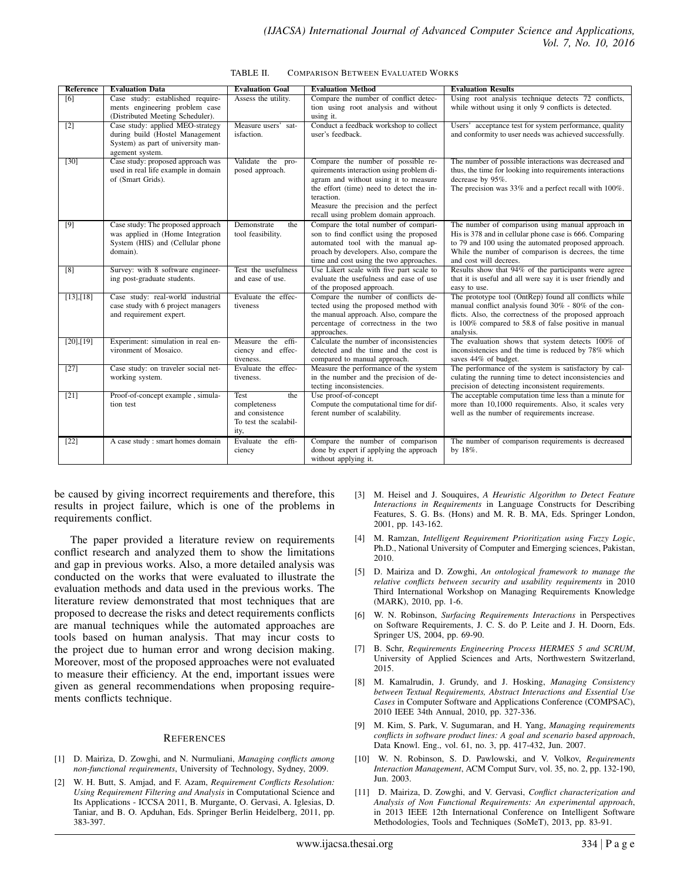| Reference         | <b>Evaluation Data</b>                                                                                                       | <b>Evaluation Goal</b>                                                          | <b>Evaluation Method</b>                                                                                                                                                                                                                                            | <b>Evaluation Results</b>                                                                                                                                                                                                                             |
|-------------------|------------------------------------------------------------------------------------------------------------------------------|---------------------------------------------------------------------------------|---------------------------------------------------------------------------------------------------------------------------------------------------------------------------------------------------------------------------------------------------------------------|-------------------------------------------------------------------------------------------------------------------------------------------------------------------------------------------------------------------------------------------------------|
| $\overline{6}$    | Case study: established require-<br>ments engineering problem case<br>(Distributed Meeting Scheduler).                       | Assess the utility.                                                             | Compare the number of conflict detec-<br>tion using root analysis and without<br>using it.                                                                                                                                                                          | Using root analysis technique detects 72 conflicts,<br>while without using it only 9 conflicts is detected.                                                                                                                                           |
| $\overline{2}$    | Case study: applied MEO-strategy<br>during build (Hostel Management<br>System) as part of university man-<br>agement system. | Measure users' sat-<br>isfaction.                                               | Conduct a feedback workshop to collect<br>user's feedback.                                                                                                                                                                                                          | Users' acceptance test for system performance, quality<br>and conformity to user needs was achieved successfully.                                                                                                                                     |
| $\overline{30}$   | Case study: proposed approach was<br>used in real life example in domain<br>of (Smart Grids).                                | Validate the pro-<br>posed approach.                                            | Compare the number of possible re-<br>quirements interaction using problem di-<br>agram and without using it to measure<br>the effort (time) need to detect the in-<br>teraction.<br>Measure the precision and the perfect<br>recall using problem domain approach. | The number of possible interactions was decreased and<br>thus, the time for looking into requirements interactions<br>decrease by 95%.<br>The precision was 33% and a perfect recall with 100%.                                                       |
| $[9]$             | Case study: The proposed approach<br>was applied in (Home Integration<br>System (HIS) and (Cellular phone<br>domain).        | Demonstrate<br>the<br>tool feasibility.                                         | Compare the total number of compari-<br>son to find conflict using the proposed<br>automated tool with the manual ap-<br>proach by developers. Also, compare the<br>time and cost using the two approaches.                                                         | The number of comparison using manual approach in<br>His is 378 and in cellular phone case is 666. Comparing<br>to 79 and 100 using the automated proposed approach.<br>While the number of comparison is decrees, the time<br>and cost will decrees. |
| $\overline{8}$    | Survey: with 8 software engineer-<br>ing post-graduate students.                                                             | Test the usefulness<br>and ease of use.                                         | Use Likert scale with five part scale to<br>evaluate the usefulness and ease of use<br>of the proposed approach.                                                                                                                                                    | Results show that 94% of the participants were agree<br>that it is useful and all were say it is user friendly and<br>easy to use.                                                                                                                    |
| $[13]$ , [18]     | Case study: real-world industrial<br>case study with 6 project managers<br>and requirement expert.                           | Evaluate the effec-<br>tiveness                                                 | Compare the number of conflicts de-<br>tected using the proposed method with<br>the manual approach. Also, compare the<br>percentage of correctness in the two<br>approaches.                                                                                       | The prototype tool (OntRep) found all conflicts while<br>manual conflict analysis found 30% - 80% of the con-<br>flicts. Also, the correctness of the proposed approach<br>is 100% compared to 58.8 of false positive in manual<br>analysis.          |
| [20],[19]         | Experiment: simulation in real en-<br>vironment of Mosaico.                                                                  | Measure the effi-<br>ciency and effec-<br>tiveness.                             | Calculate the number of inconsistencies<br>detected and the time and the cost is<br>compared to manual approach.                                                                                                                                                    | The evaluation shows that system detects 100% of<br>inconsistencies and the time is reduced by 78% which<br>saves 44% of budget.                                                                                                                      |
| $\overline{[27]}$ | Case study: on traveler social net-<br>working system.                                                                       | Evaluate the effec-<br>tiveness.                                                | Measure the performance of the system<br>in the number and the precision of de-<br>tecting inconsistencies.                                                                                                                                                         | The performance of the system is satisfactory by cal-<br>culating the running time to detect inconsistencies and<br>precision of detecting inconsistent requirements.                                                                                 |
| [21]              | Proof-of-concept example, simula-<br>tion test                                                                               | Test<br>the<br>completeness<br>and consistence<br>To test the scalabil-<br>ity, | Use proof-of-concept<br>Compute the computational time for dif-<br>ferent number of scalability.                                                                                                                                                                    | The acceptable computation time less than a minute for<br>more than 10,1000 requirements. Also, it scales very<br>well as the number of requirements increase.                                                                                        |
| $[22]$            | A case study : smart homes domain                                                                                            | Evaluate the effi-<br>ciency                                                    | Compare the number of comparison<br>done by expert if applying the approach<br>without applying it.                                                                                                                                                                 | The number of comparison requirements is decreased<br>by 18%.                                                                                                                                                                                         |

| TABLE II. | <b>COMPARISON BETWEEN EVALUATED WORKS</b> |  |  |
|-----------|-------------------------------------------|--|--|
|           |                                           |  |  |

be caused by giving incorrect requirements and therefore, this results in project failure, which is one of the problems in requirements conflict.

The paper provided a literature review on requirements conflict research and analyzed them to show the limitations and gap in previous works. Also, a more detailed analysis was conducted on the works that were evaluated to illustrate the evaluation methods and data used in the previous works. The literature review demonstrated that most techniques that are proposed to decrease the risks and detect requirements conflicts are manual techniques while the automated approaches are tools based on human analysis. That may incur costs to the project due to human error and wrong decision making. Moreover, most of the proposed approaches were not evaluated to measure their efficiency. At the end, important issues were given as general recommendations when proposing requirements conflicts technique.

#### **REFERENCES**

- [1] D. Mairiza, D. Zowghi, and N. Nurmuliani, *Managing conflicts among non-functional requirements*, University of Technology, Sydney, 2009.
- [2] W. H. Butt, S. Amjad, and F. Azam, *Requirement Conflicts Resolution: Using Requirement Filtering and Analysis* in Computational Science and Its Applications - ICCSA 2011, B. Murgante, O. Gervasi, A. Iglesias, D. Taniar, and B. O. Apduhan, Eds. Springer Berlin Heidelberg, 2011, pp. 383-397.
- [3] M. Heisel and J. Souquires, *A Heuristic Algorithm to Detect Feature Interactions in Requirements* in Language Constructs for Describing Features, S. G. Bs. (Hons) and M. R. B. MA, Eds. Springer London, 2001, pp. 143-162.
- [4] M. Ramzan, *Intelligent Requirement Prioritization using Fuzzy Logic*, Ph.D., National University of Computer and Emerging sciences, Pakistan, 2010.
- [5] D. Mairiza and D. Zowghi, *An ontological framework to manage the relative conflicts between security and usability requirements* in 2010 Third International Workshop on Managing Requirements Knowledge (MARK), 2010, pp. 1-6.
- [6] W. N. Robinson, *Surfacing Requirements Interactions* in Perspectives on Software Requirements, J. C. S. do P. Leite and J. H. Doorn, Eds. Springer US, 2004, pp. 69-90.
- [7] B. Schr, *Requirements Engineering Process HERMES 5 and SCRUM*, University of Applied Sciences and Arts, Northwestern Switzerland, 2015.
- [8] M. Kamalrudin, J. Grundy, and J. Hosking, *Managing Consistency between Textual Requirements, Abstract Interactions and Essential Use Cases* in Computer Software and Applications Conference (COMPSAC), 2010 IEEE 34th Annual, 2010, pp. 327-336.
- [9] M. Kim, S. Park, V. Sugumaran, and H. Yang, *Managing requirements conflicts in software product lines: A goal and scenario based approach*, Data Knowl. Eng., vol. 61, no. 3, pp. 417-432, Jun. 2007.
- [10] W. N. Robinson, S. D. Pawlowski, and V. Volkov, *Requirements Interaction Management*, ACM Comput Surv, vol. 35, no. 2, pp. 132-190, Jun. 2003.
- [11] D. Mairiza, D. Zowghi, and V. Gervasi, *Conflict characterization and Analysis of Non Functional Requirements: An experimental approach*, in 2013 IEEE 12th International Conference on Intelligent Software Methodologies, Tools and Techniques (SoMeT), 2013, pp. 83-91.